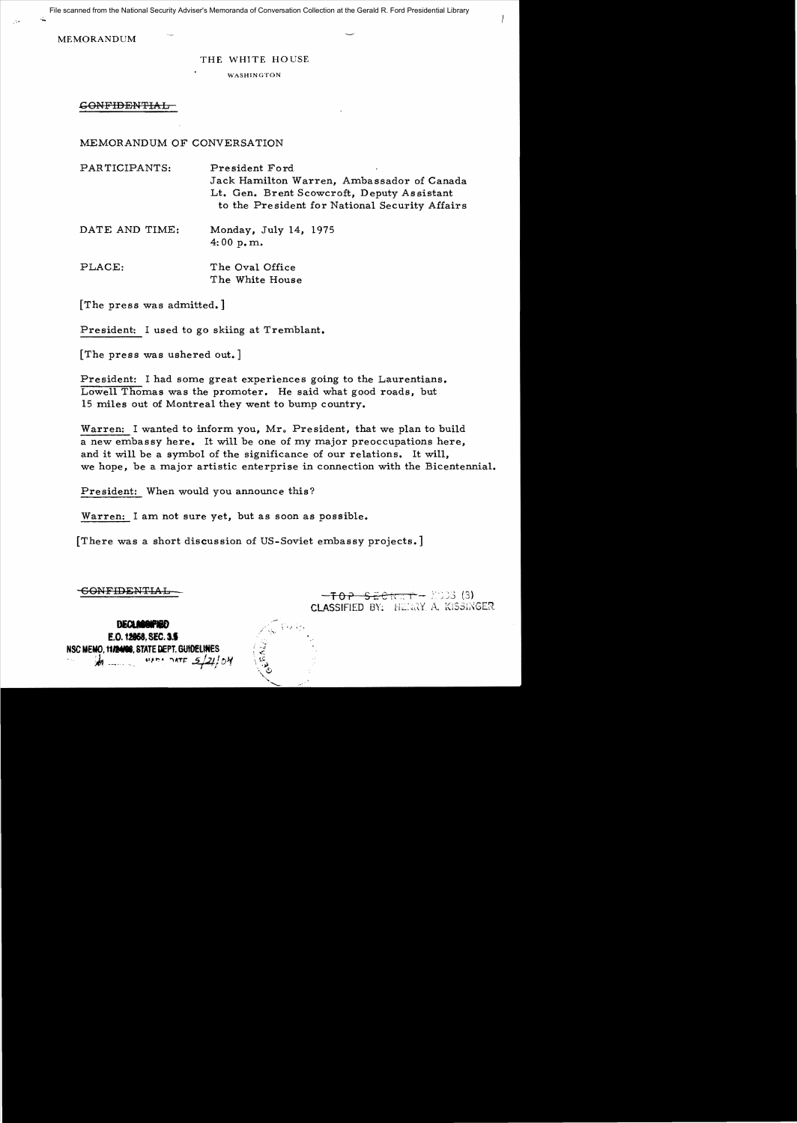File scanned from the National Security Adviser's Memoranda of Conversation Collection at the Gerald R. Ford Presidential Library

MEMORANDUM

## THE WHITE HOUSE

WASHINGTON

GONFIDENTIAL

## MEMORANDUM OF CONVERSATION

| PARTICIPANTS: | President Ford<br>$\mathbf{r}$                 |
|---------------|------------------------------------------------|
|               | Jack Hamilton Warren, Ambassador of Canada     |
|               | Lt. Gen. Brent Scowcroft, Deputy Assistant     |
|               | to the President for National Security Affairs |

DATE AND TIME: Monday, July 14, 1975 4: 00 p.m.

PLACE: The Oval Office The White House

[The press was admitted.]

President: I used to go skiing at Tremblant.

[The press was ushered out. ]

President: I had some great experiences going to the Laurentians. Lowell Thomas was the promoter. He said what good roads, but 15 miles out of Montreal they went to bump country.

Warren: I wanted to inform you, Mr. President, that we plan to build a new embassy here. It will be one of my major preoccupations here, and it will be a symbol of the significance of our relations. It will, we hope, be a major artistic enterprise in connection with the Bicentennial.

President: When would you announce this?

Warren: I am not sure yet, but as soon as possible.

[There was a short discussion of US-Soviet embassy projects. ]

-GONFIDENTIAL

**DECLINOITIED**<br>B.O. 12868, SEC. 3.5 DECLANOMPARD NSC MEMO, 11**12408**, STATE DEPT. GUIDELINES **in the state of the state of the state** of the state of the state of the state of the state of the state of the state of the state of the state of the state of the state of the

TOP SECKET **CLASSIFIED BY:** HERRY A. KISSINGER

ļ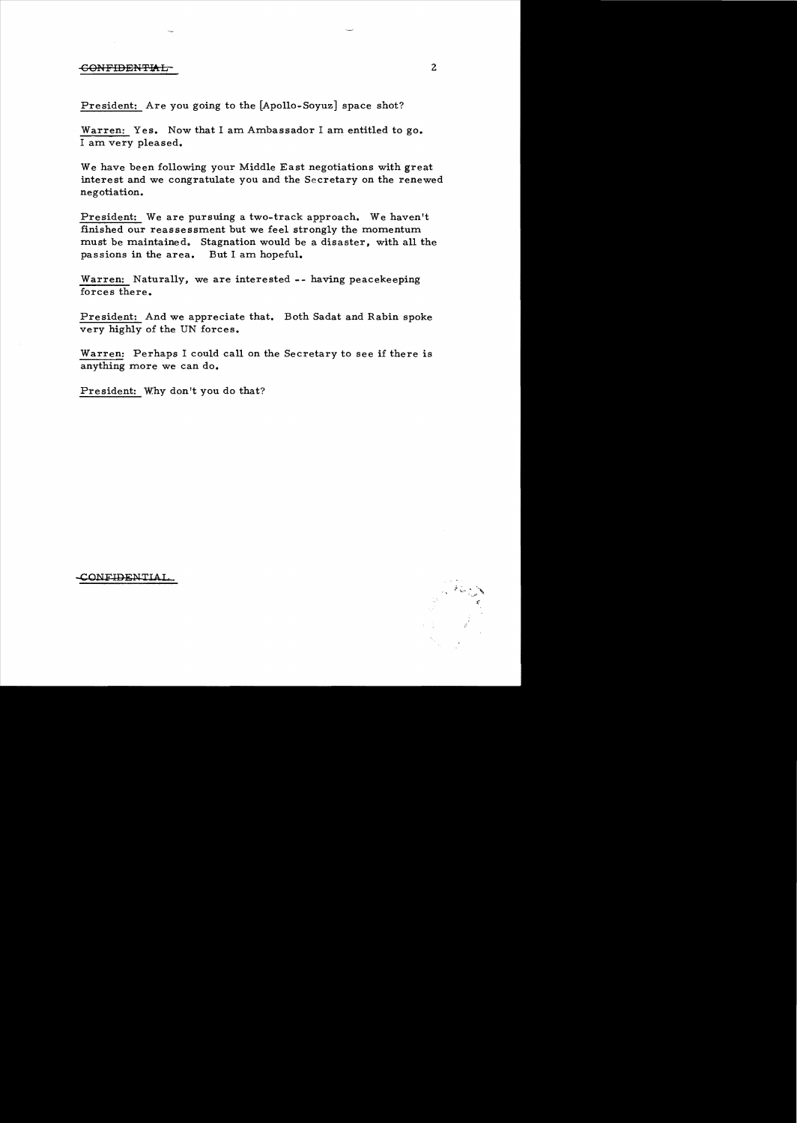## CONFIDENTIAL 2

President: Are you going to the [Apollo-Soyuz] space shot?

Warren: Yes. Now that I am Ambassador I am entitled to go. I am very pleased.

We have been following your Middle East negotiations with great interest and we congratulate you and the Secretary on the renewed negotiation.

President: We are pursuing a two-track approach. We haven't finished our reassessment but we feel strongly the momentum must be maintained. Stagnation would be a disaster, with all the passions in the area. But I am hopeful.

Warren: Naturally, we are interested -- having peacekeeping forces there.

President: And we appreciate that. Both Sadat and Rabin spoke very highly of the UN forces.

Warren: Perhaps I could call on the Secretary to see if there is anything more we can do.

President: Why don't you do that?

-CONFIDENTIA 1.